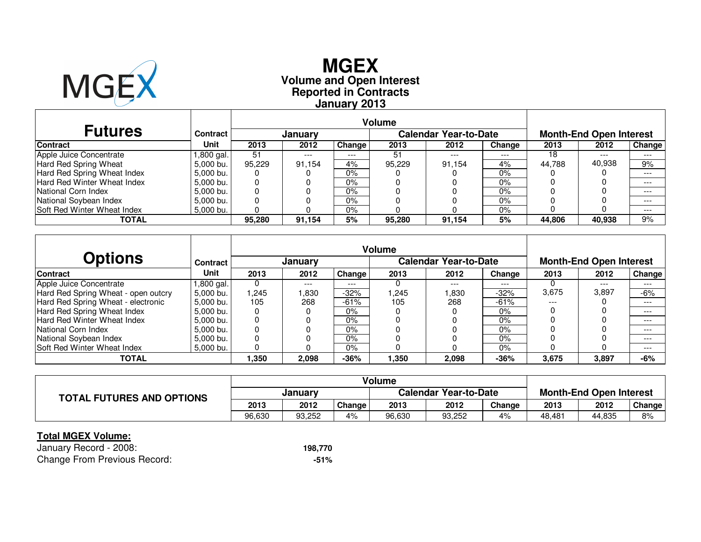

# **Reported in Contracts Volume and Open Interest MGEXJanuary 2013**

| <b>Futures</b>                     | Contract  |        | January |        |        | <b>Calendar Year-to-Date</b> |        |        | <b>Month-End Open Interest</b> |               |
|------------------------------------|-----------|--------|---------|--------|--------|------------------------------|--------|--------|--------------------------------|---------------|
| <b>Contract</b>                    | Unit      | 2013   | 2012    | Change | 2013   | 2012                         | Change | 2013   | 2012                           | <b>Change</b> |
| Apple Juice Concentrate            | .800 gal. | 51     | $---$   | $---$  | -51    | ---                          | $---$  | 18     | $---$                          | $---$         |
| Hard Red Spring Wheat              | 5.000 bu. | 95.229 | 91.154  | 4%     | 95.229 | 91.154                       | 4%     | 44.788 | 40,938                         | 9%            |
| Hard Red Spring Wheat Index        | 5.000 bu. | 0      |         | $0\%$  |        |                              | 0%     |        |                                | $- - -$       |
| Hard Red Winter Wheat Index        | 5.000 bu. | 0      |         | $0\%$  |        |                              | 0%     |        |                                | $- - -$       |
| National Corn Index                | 5.000 bu. | 0      |         | 0%     |        |                              | 0%     |        |                                | $---$         |
| National Soybean Index             | 5.000 bu. | 0      |         | $0\%$  |        |                              | 0%     |        |                                | $---$         |
| <b>Soft Red Winter Wheat Index</b> | 5,000 bu. |        |         | 0%     |        |                              | 0%     |        |                                | $---$         |
| <b>TOTAL</b>                       |           | 95.280 | 91.154  | 5%     | 95.280 | 91.154                       | 5%     | 44.806 | 40.938                         | 9%            |

|                                     |                 |      |         |        | <b>Volume</b> |                              |        |       |                                |        |
|-------------------------------------|-----------------|------|---------|--------|---------------|------------------------------|--------|-------|--------------------------------|--------|
| <b>Options</b>                      | <b>Contract</b> |      | January |        |               | <b>Calendar Year-to-Date</b> |        |       | <b>Month-End Open Interest</b> |        |
| <b>Contract</b>                     | Unit            | 2013 | 2012    | Change | 2013          | 2012                         | Change | 2013  | 2012                           | Change |
| Apple Juice Concentrate             | l.800 gal.      |      | $---$   | ---    |               | ---                          | ---    |       | $---$                          | $---$  |
| Hard Red Spring Wheat - open outcry | 5.000 bu.       | .245 | .830    | -32%   | .245          | 1,830                        | $-32%$ | 3,675 | 3,897                          | $-6%$  |
| Hard Red Spring Wheat - electronic  | 5.000 bu.       | 105  | 268     | $-61%$ | 105           | 268                          | $-61%$ | $---$ |                                | $---$  |
| Hard Red Spring Wheat Index         | 5.000 bu.       |      |         | 0%     |               |                              | $0\%$  |       |                                | $---$  |
| Hard Red Winter Wheat Index         | 5.000 bu.       |      |         | 0%     |               |                              | 0%     |       |                                | $---$  |
| National Corn Index                 | 5.000 bu.       |      |         | 0%     |               |                              | $0\%$  |       |                                | $---$  |
| National Soybean Index              | 5,000 bu.       |      |         | 0%     |               |                              | $0\%$  |       |                                | $---$  |
| <b>Soft Red Winter Wheat Index</b>  | 5,000 bu.       |      |         | 0%     |               |                              | $0\%$  |       |                                | $---$  |
| <b>TOTAL</b>                        |                 | .350 | 2,098   | $-36%$ | 350. ا        | 2,098                        | $-36%$ | 3,675 | 3,897                          | $-6%$  |

| <b>TOTAL FUTURES AND OPTIONS</b> |         |        |               |                              |        |        |                                |        |        |
|----------------------------------|---------|--------|---------------|------------------------------|--------|--------|--------------------------------|--------|--------|
|                                  | January |        |               | <b>Calendar Year-to-Date</b> |        |        | <b>Month-End Open Interest</b> |        |        |
|                                  | 2013    | 2012   | <b>Change</b> | 2013                         | 2012   | Change | 2013                           | 2012   | Change |
|                                  | 96,630  | 93.252 | 4%            | 96,630                       | 93.252 | 4%     | 48,481                         | 44.835 | 8%     |

### **Total MGEX Volume:**

 January Record - 2008:Change From Previous Record:**-51%**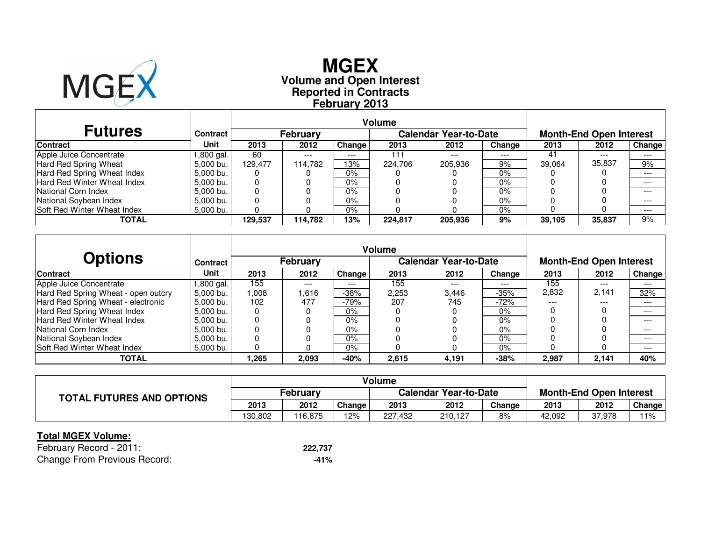

# **Reported in Contracts Volume and Open Interest MGEXFebruary 2013**

| <b>Futures</b>                     | Contract  |         | <b>February</b> |        |         | <b>Calendar Year-to-Date</b> |         |        | <b>Month-End Open Interest</b> |         |
|------------------------------------|-----------|---------|-----------------|--------|---------|------------------------------|---------|--------|--------------------------------|---------|
| <b>Contract</b>                    | Unit      | 2013    | 2012            | Change | 2013    | 2012                         | Change  | 2013   | 2012                           | Change  |
| Apple Juice Concentrate            | .800 gal. | 60      | $---$           | $---$  | 111     | $- - -$                      | $- - -$ | 41     | $---$                          | $---$   |
| Hard Red Spring Wheat              | 5.000 bu. | 129.477 | 114.782         | 13%    | 224.706 | 205.936                      | 9%      | 39.064 | 35,837                         | 9%      |
| Hard Red Spring Wheat Index        | 5.000 bu. | O       |                 | $0\%$  |         |                              | 0%      |        |                                | $---$   |
| <b>Hard Red Winter Wheat Index</b> | 5.000 bu. | 0       |                 | 0%     |         |                              | 0%      |        |                                | $---$   |
| National Corn Index                | 5.000 bu. | 0       |                 | $0\%$  |         |                              | 0%      |        |                                | $- - -$ |
| National Soybean Index             | 5.000 bu. | 0       |                 | $0\%$  |         |                              | 0%      |        |                                | $---$   |
| <b>Soft Red Winter Wheat Index</b> | 5,000 bu. |         |                 | $0\%$  |         |                              | 0%      |        |                                | $---$   |
| <b>TOTAL</b>                       |           | 129.537 | 114.782         | 13%    | 224,817 | 205.936                      | 9%      | 39,105 | 35.837                         | 9%      |

|                                     |                 |       |                 |        | <b>Volume</b> |                              |        |       |                                |         |
|-------------------------------------|-----------------|-------|-----------------|--------|---------------|------------------------------|--------|-------|--------------------------------|---------|
| <b>Options</b>                      | <b>Contract</b> |       | <b>February</b> |        |               | <b>Calendar Year-to-Date</b> |        |       | <b>Month-End Open Interest</b> |         |
| <b>Contract</b>                     | Unit            | 2013  | 2012            | Change | 2013          | 2012                         | Change | 2013  | 2012                           | Change  |
| Apple Juice Concentrate             | l.800 gal.      | 155   | $---$           | ---    | 155           | ---                          | ---    | 155   | $---$                          | $---$   |
| Hard Red Spring Wheat - open outcry | 5.000 bu.       | .008  | .616            | -38%   | 2,253         | 3.446                        | $-35%$ | 2,832 | 2,141                          | 32%     |
| Hard Red Spring Wheat - electronic  | 5.000 bu.       | 102   | 477             | -79%   | 207           | 745                          | $-72%$ | $---$ | ---                            | $---$   |
| Hard Red Spring Wheat Index         | 5,000 bu.       |       |                 | 0%     |               |                              | $0\%$  |       |                                | $---$   |
| Hard Red Winter Wheat Index         | 5,000 bu.       |       |                 | 0%     |               |                              | 0%     |       |                                | $---$   |
| National Corn Index                 | 5.000 bu.       | 0     |                 | 0%     |               |                              | $0\%$  |       |                                | $---$   |
| National Soybean Index              | 5.000 bu.       |       |                 | 0%     |               |                              | $0\%$  |       |                                | $- - -$ |
| Soft Red Winter Wheat Index         | 5,000 bu.       |       |                 | 0%     |               |                              | $0\%$  |       |                                | $---$   |
| <b>TOTAL</b>                        |                 | 265,، | 2,093           | $-40%$ | 2,615         | 4,191                        | $-38%$ | 2,987 | 2.141                          | 40%     |

| <b>TOTAL FUTURES AND OPTIONS</b> |          |         |        | Volume                       |         |        |                                |        |        |  |
|----------------------------------|----------|---------|--------|------------------------------|---------|--------|--------------------------------|--------|--------|--|
|                                  | February |         |        | <b>Calendar Year-to-Date</b> |         |        | <b>Month-End Open Interest</b> |        |        |  |
|                                  | 2013     | 2012    | Change | 2013                         | 2012    | Change | 2013                           | 2012   | Change |  |
|                                  | 130.802  | 116.875 | 12%    | 227.432                      | 210.127 | 8%     | 42.092                         | 37,978 | 11%    |  |

### **Total MGEX Volume:**

 February Record - 2011: **222,737** $-41%$ Change From Previous Record:**-41%**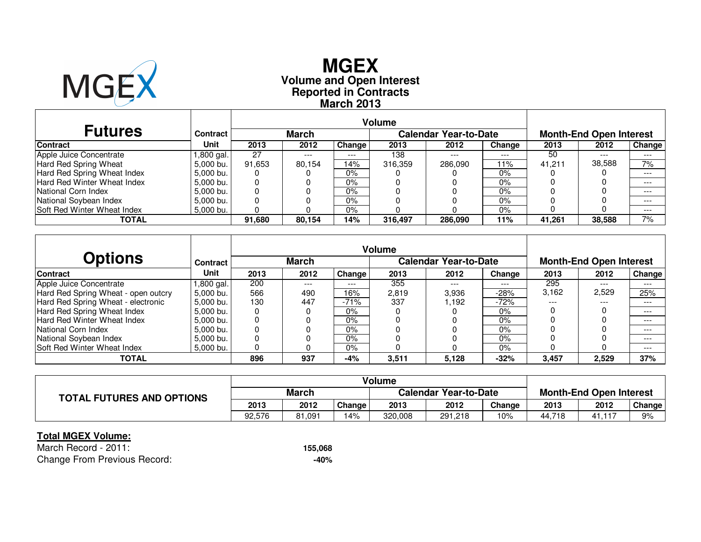

# **Reported in Contracts Volume and Open Interest MGEXMarch 2013**

| <b>Futures</b>                     | Contract  |        | March  |               |         | <b>Calendar Year-to-Date</b> |        |        | <b>Month-End Open Interest</b> |        |
|------------------------------------|-----------|--------|--------|---------------|---------|------------------------------|--------|--------|--------------------------------|--------|
| <b>Contract</b>                    | Unit      | 2013   | 2012   | <b>Change</b> | 2013    | 2012                         | Change | 2013   | 2012                           | Change |
| Apple Juice Concentrate            | ,800 gal. | 27     | $---$  | ---           | 138     | ---                          | $---$  | 50     | $---$                          | $---$  |
| Hard Red Spring Wheat              | 5.000 bu. | 91.653 | 80.154 | 14%           | 316,359 | 286,090                      | 11%    | 41.211 | 38,588                         | 7%     |
| Hard Red Spring Wheat Index        | 5.000 bu. | 0      |        | $0\%$         |         |                              | 0%     |        |                                | $---$  |
| Hard Red Winter Wheat Index        | 5.000 bu. |        |        | $0\%$         |         |                              | 0%     |        |                                | $---$  |
| National Corn Index                | 5.000 bu. |        |        | $0\%$         |         |                              | 0%     |        |                                | $---$  |
| National Soybean Index             | 5.000 bu. |        |        | $0\%$         |         |                              | 0%     |        |                                | $---$  |
| <b>Soft Red Winter Wheat Index</b> | 5.000 bu. |        |        | $0\%$         |         |                              | 0%     |        |                                | $---$  |
| <b>TOTAL</b>                       |           | 91.680 | 80.154 | 14%           | 316,497 | 286.090                      | 11%    | 41.261 | 38,588                         | 7%     |

|                                     |                 |      |              |        | <b>Volume</b> |                              |        |       |                                |               |
|-------------------------------------|-----------------|------|--------------|--------|---------------|------------------------------|--------|-------|--------------------------------|---------------|
| <b>Options</b>                      | <b>Contract</b> |      | <b>March</b> |        |               | <b>Calendar Year-to-Date</b> |        |       | <b>Month-End Open Interest</b> |               |
| <b>Contract</b>                     | Unit            | 2013 | 2012         | Change | 2013          | 2012                         | Change | 2013  | 2012                           | <b>Change</b> |
| Apple Juice Concentrate             | l.800 gal.      | 200  | $---$        | ---    | 355           | ---                          | ---    | 295   | $---$                          | $---$         |
| Hard Red Spring Wheat - open outcry | 5.000 bu.       | 566  | 490          | 16%    | 2,819         | 3,936                        | $-28%$ | 3,162 | 2,529                          | 25%           |
| Hard Red Spring Wheat - electronic  | 5.000 bu.       | 130  | 447          | $-71%$ | 337           | 1.192                        | $-72%$ | $---$ | $---$                          | $---$         |
| Hard Red Spring Wheat Index         | 5.000 bu.       |      |              | 0%     |               |                              | $0\%$  |       |                                | $---$         |
| Hard Red Winter Wheat Index         | 5,000 bu.       |      |              | 0%     |               |                              | 0%     |       |                                | $---$         |
| National Corn Index                 | 5.000 bu.       | 0    |              | 0%     |               |                              | $0\%$  |       |                                | $---$         |
| National Soybean Index              | 5,000 bu.       |      |              | 0%     |               |                              | $0\%$  |       |                                | $---$         |
| <b>Soft Red Winter Wheat Index</b>  | 5,000 bu.       |      |              | 0%     |               |                              | $0\%$  |       |                                | $---$         |
| <b>TOTAL</b>                        |                 | 896  | 937          | -4%    | 3,511         | 5.128                        | $-32%$ | 3,457 | 2,529                          | 37%           |

| <b>TOTAL FUTURES AND OPTIONS</b> |              |        |        | <b>Volume</b>                |         |        |                                |        |        |
|----------------------------------|--------------|--------|--------|------------------------------|---------|--------|--------------------------------|--------|--------|
|                                  | <b>March</b> |        |        | <b>Calendar Year-to-Date</b> |         |        | <b>Month-End Open Interest</b> |        |        |
|                                  | 2013         | 2012   | Change | 2013                         | 2012    | Change | 2013                           | 2012   | Change |
|                                  | 92.576       | 81.091 | 14%    | 320,008                      | 291,218 | 10%    | 44.718                         | 41.117 | 9%     |

### **Total MGEX Volume:**

 March Record - 2011: **155,068** $-40%$ Change From Previous Record:**-40%**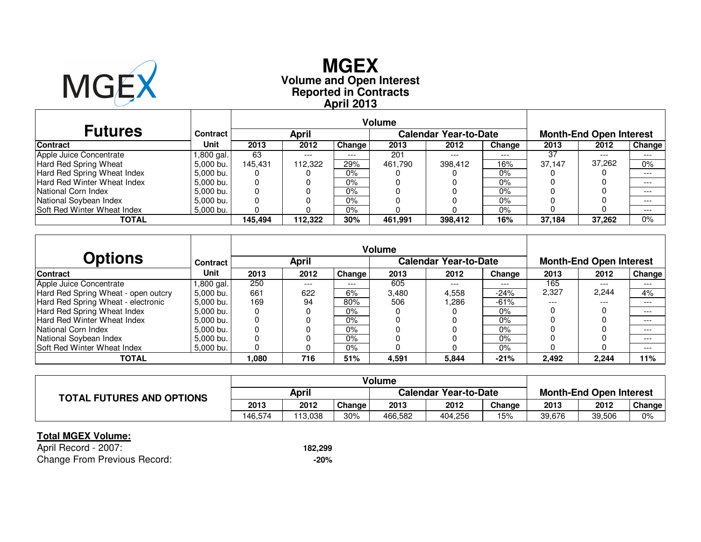

# **Reported in Contracts Volume and Open Interest MGEXApril 2013**

| <b>Futures</b>                     | <b>Contract</b> |         | April   |        |         | <b>Calendar Year-to-Date</b> |        |        | <b>Month-End Open Interest</b> |        |
|------------------------------------|-----------------|---------|---------|--------|---------|------------------------------|--------|--------|--------------------------------|--------|
| <b>Contract</b>                    | Unit            | 2013    | 2012    | Change | 2013    | 2012                         | Change | 2013   | 2012                           | Change |
| Apple Juice Concentrate            | .800 gal.       | 63      | $---$   | ---    | 201     | ---                          | $---$  | 37     | $---$                          | $---$  |
| Hard Red Spring Wheat              | 5.000 bu.       | 145.431 | 112.322 | 29%    | 461.790 | 398.412                      | 16%    | 37.147 | 37.262                         | $0\%$  |
| Hard Red Spring Wheat Index        | 5.000 bu.       | O       |         | 0%     |         |                              | 0%     |        |                                | $---$  |
| Hard Red Winter Wheat Index        | 5.000 bu.       | 0       |         | $0\%$  |         |                              | 0%     |        |                                | $---$  |
| National Corn Index                | 5.000 bu.       | 0       |         | $0\%$  |         |                              | 0%     |        |                                | $---$  |
| National Soybean Index             | 5.000 bu.       | 0       |         | $0\%$  |         |                              | 0%     |        |                                | $---$  |
| <b>Soft Red Winter Wheat Index</b> | 5,000 bu.       |         |         | $0\%$  |         |                              | 0%     |        |                                | $---$  |
| <b>TOTAL</b>                       |                 | 145.494 | 112.322 | $30\%$ | 461.991 | 398.412                      | 16%    | 37,184 | 37,262                         | $0\%$  |

|                                     |                 |        |       |        | <b>Volume</b> |                              |        |       |                                |        |
|-------------------------------------|-----------------|--------|-------|--------|---------------|------------------------------|--------|-------|--------------------------------|--------|
| <b>Options</b>                      | <b>Contract</b> |        | April |        |               | <b>Calendar Year-to-Date</b> |        |       | <b>Month-End Open Interest</b> |        |
| <b>Contract</b>                     | Unit            | 2013   | 2012  | Change | 2013          | 2012                         | Change | 2013  | 2012                           | Change |
| Apple Juice Concentrate             | l.800 gal.      | 250    | ---   | $---$  | 605           | ---                          | $---$  | 165   | $---$                          | ---    |
| Hard Red Spring Wheat - open outcry | 5,000 bu.       | 661    | 622   | 6%     | 3,480         | 4,558                        | $-24%$ | 2,327 | 2.244                          | 4%     |
| Hard Red Spring Wheat - electronic  | 5,000 bu.       | 169    | 94    | 80%    | 506           | .286                         | $-61%$ | $---$ | $---$                          | $---$  |
| Hard Red Spring Wheat Index         | 5.000 bu.       |        |       | 0%     |               |                              | $0\%$  |       |                                | ---    |
| Hard Red Winter Wheat Index         | 5,000 bu.       |        |       | 0%     |               |                              | 0%     |       |                                | ---    |
| National Corn Index                 | 5,000 bu.       |        |       | 0%     |               |                              | $0\%$  |       |                                | ---    |
| National Soybean Index              | 5,000 bu.       |        |       | 0%     |               |                              | $0\%$  |       |                                | ---    |
| Soft Red Winter Wheat Index         | 5,000 bu.       |        |       | 0%     |               |                              | 0%     |       |                                | $---$  |
| <b>TOTAL</b>                        |                 | 080، ا | 716   | 51%    | 4,591         | 5,844                        | $-21%$ | 2,492 | 2,244                          | 11%    |

| <b>TOTAL FUTURES AND OPTIONS</b> |         |         |        | Volume                       |         |        |                                |        |        |  |
|----------------------------------|---------|---------|--------|------------------------------|---------|--------|--------------------------------|--------|--------|--|
|                                  | April   |         |        | <b>Calendar Year-to-Date</b> |         |        | <b>Month-End Open Interest</b> |        |        |  |
|                                  | 2013    | 2012    | Change | 2013                         | 2012    | Change | 2013                           | 2012   | Change |  |
|                                  | 146.574 | 113.038 | 30%    | 466.582                      | 404,256 | 15%    | 39,676                         | 39,506 | $0\%$  |  |

### **Total MGEX Volume:**

April Record - 2007: **182,299** $-20%$ Change From Previous Record:**-20%**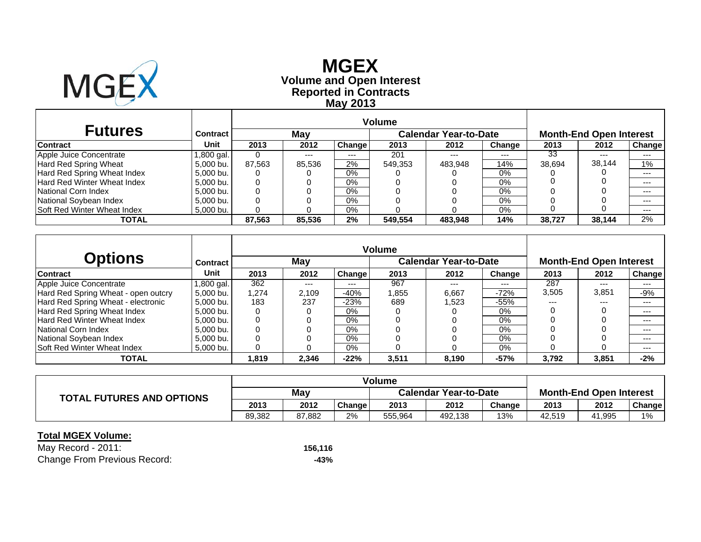

## **Reported in Contracts Volume and Open Interest MGEX May 2013**

| <b>Futures</b>                     | Contract   |        | May    |        |         | <b>Calendar Year-to-Date</b> |         |        | <b>Month-End Open Interest</b> |        |
|------------------------------------|------------|--------|--------|--------|---------|------------------------------|---------|--------|--------------------------------|--------|
| <b>Contract</b>                    | Unit       | 2013   | 2012   | Change | 2013    | 2012                         | Change  | 2013   | 2012                           | Change |
| Apple Juice Concentrate            | l,800 gal. |        | ---    | $---$  | 201     | $- - -$                      | $- - -$ | 33     | $---$                          | $---$  |
| Hard Red Spring Wheat              | 5,000 bu.  | 87,563 | 85,536 | 2%     | 549,353 | 483,948                      | 14%     | 38,694 | 38.144                         | 1%     |
| Hard Red Spring Wheat Index        | 5.000 bu.  |        |        | $0\%$  |         |                              | $0\%$   |        |                                | $--$   |
| Hard Red Winter Wheat Index        | 5.000 bu.  |        |        | 0%     |         |                              | 0%      |        |                                | ---    |
| National Corn Index                | 5,000 bu.  |        |        | 0%     |         |                              | 0%      |        |                                | $---$  |
| National Soybean Index             | 5.000 bu.  |        |        | $0\%$  |         |                              | 0%      |        |                                | $---$  |
| <b>Soft Red Winter Wheat Index</b> | 5,000 bu.  |        |        | $0\%$  |         |                              | 0%      |        |                                | $---$  |
| TOTAL                              |            | 87.563 | 85.536 | 2%     | 549.554 | 483.948                      | 14%     | 38.727 | 38.144                         | 2%     |

|                                     |            |       |       |        | <b>Volume</b> |                              |        |       |                                |        |
|-------------------------------------|------------|-------|-------|--------|---------------|------------------------------|--------|-------|--------------------------------|--------|
| Options                             | Contract   |       | May   |        |               | <b>Calendar Year-to-Date</b> |        |       | <b>Month-End Open Interest</b> |        |
| <b>Contract</b>                     | Unit       | 2013  | 2012  | Change | 2013          | 2012                         | Change | 2013  | 2012                           | Change |
| Apple Juice Concentrate             | 1,800 gal. | 362   | ---   | ---    | 967           | ---                          | ---    | 287   | $--$                           | ---    |
| Hard Red Spring Wheat - open outcry | 5.000 bu.  | 1.274 | 2,109 | $-40%$ | .855          | 6,667                        | $-72%$ | 3,505 | 3,851                          | $-9%$  |
| Hard Red Spring Wheat - electronic  | 5.000 bu.  | 183   | 237   | $-23%$ | 689           | .523                         | $-55%$ | $---$ | $---$                          | ---    |
| Hard Red Spring Wheat Index         | 5.000 bu.  | 0     |       | $0\%$  |               |                              | $0\%$  |       |                                | $--$   |
| <b>Hard Red Winter Wheat Index</b>  | 5.000 bu.  | 0     |       | $0\%$  |               |                              | 0%     |       |                                | ---    |
| National Corn Index                 | 5.000 bu.  | 0     |       | $0\%$  |               |                              | 0%     |       |                                | $--$   |
| National Soybean Index              | 5.000 bu.  |       |       | $0\%$  |               |                              | $0\%$  |       |                                | ---    |
| <b>Soft Red Winter Wheat Index</b>  | 5,000 bu.  | 0     |       | $0\%$  |               |                              | 0%     |       |                                | $---$  |
| TOTAL                               |            | 1,819 | 2,346 | $-22%$ | 3,511         | 8,190                        | $-57%$ | 3,792 | 3,851                          | $-2%$  |

| <b>TOTAL FUTURES AND OPTIONS</b> |        |        |        |                              |         |        |                                |        |               |
|----------------------------------|--------|--------|--------|------------------------------|---------|--------|--------------------------------|--------|---------------|
|                                  | May    |        |        | <b>Calendar Year-to-Date</b> |         |        | <b>Month-End Open Interest</b> |        |               |
|                                  | 2013   | 2012   | Change | 2013                         | 2012    | Change | 2013                           | 2012   | <b>Change</b> |
|                                  | 89.382 | 87,882 | 2%     | 555,964                      | 492.138 | 13%    | 42.519                         | 41,995 | 1%            |

### **Total MGEX Volume:**

May Record - 2011: **156,116** Change From Previous Record: **-43%**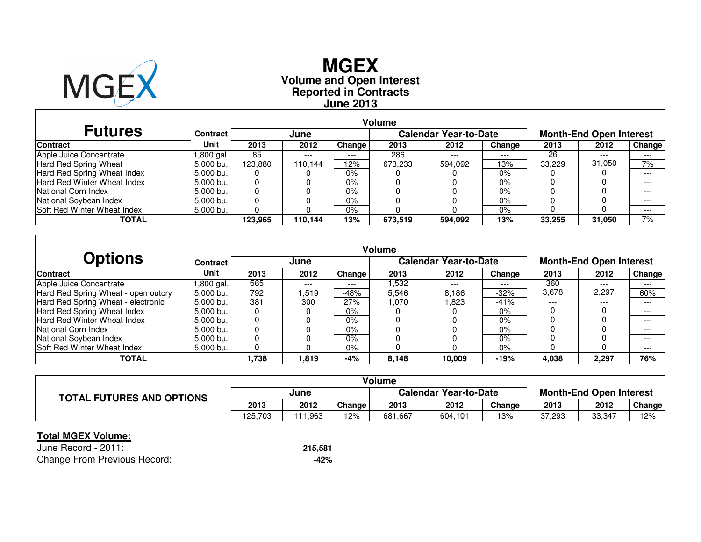

# **Reported in Contracts Volume and Open Interest MGEXJune 2013**

| <b>Futures</b>                     | Contract  |         | June    |               |         | <b>Calendar Year-to-Date</b> |        |        | <b>Month-End Open Interest</b> |        |
|------------------------------------|-----------|---------|---------|---------------|---------|------------------------------|--------|--------|--------------------------------|--------|
| <b>Contract</b>                    | Unit      | 2013    | 2012    | <b>Change</b> | 2013    | 2012                         | Change | 2013   | 2012                           | Change |
| Apple Juice Concentrate            | ,800 gal. | 85      | $---$   | ---           | 286     | $- - -$                      | $---$  | 26     | $---$                          | $---$  |
| Hard Red Spring Wheat              | 5.000 bu. | 123.880 | 110.144 | 12%           | 673,233 | 594.092                      | 13%    | 33.229 | 31.050                         | 7%     |
| Hard Red Spring Wheat Index        | 5.000 bu. |         |         | 0%            |         |                              | 0%     |        |                                | $---$  |
| Hard Red Winter Wheat Index        | 5.000 bu. |         |         | $0\%$         |         |                              | 0%     |        |                                | $---$  |
| National Corn Index                | 5.000 bu. |         |         | $0\%$         |         |                              | 0%     |        |                                | $---$  |
| National Soybean Index             | 5.000 bu. |         |         | $0\%$         |         |                              | 0%     |        |                                | $---$  |
| <b>Soft Red Winter Wheat Index</b> | 5.000 bu. |         |         | $0\%$         |         |                              | 0%     |        |                                | $---$  |
| <b>TOTAL</b>                       |           | 123.965 | 110,144 | 13%           | 673.519 | 594.092                      | 13%    | 33,255 | 31,050                         | 7%     |

|                                     |                 |       |       |        | <b>Volume</b> |                              |        |       |                                |               |
|-------------------------------------|-----------------|-------|-------|--------|---------------|------------------------------|--------|-------|--------------------------------|---------------|
| <b>Options</b>                      | <b>Contract</b> |       | June  |        |               | <b>Calendar Year-to-Date</b> |        |       | <b>Month-End Open Interest</b> |               |
| <b>Contract</b>                     | Unit            | 2013  | 2012  | Change | 2013          | 2012                         | Change | 2013  | 2012                           | <b>Change</b> |
| Apple Juice Concentrate             | l.800 gal.      | 565   | $---$ | ---    | ,532          | ---                          | ---    | 360   | $---$                          | $---$         |
| Hard Red Spring Wheat - open outcry | 5.000 bu.       | 792   | .519  | -48%   | 5,546         | 8,186                        | $-32%$ | 3,678 | 2,297                          | 60%           |
| Hard Red Spring Wheat - electronic  | 5.000 bu.       | 381   | 300   | 27%    | 1.070         | 1.823                        | $-41%$ | $---$ | $---$                          | $---$         |
| Hard Red Spring Wheat Index         | 5.000 bu.       |       |       | 0%     |               |                              | $0\%$  |       |                                | $---$         |
| Hard Red Winter Wheat Index         | 5,000 bu.       |       |       | 0%     |               |                              | 0%     |       |                                | $---$         |
| National Corn Index                 | 5.000 bu.       | 0     |       | 0%     |               |                              | $0\%$  |       |                                | $---$         |
| National Soybean Index              | 5,000 bu.       |       |       | 0%     |               |                              | $0\%$  |       |                                | $---$         |
| <b>Soft Red Winter Wheat Index</b>  | 5,000 bu.       |       |       | 0%     |               |                              | $0\%$  |       |                                | $---$         |
| <b>TOTAL</b>                        |                 | 1,738 | 1,819 | -4%    | 8,148         | 10.009                       | $-19%$ | 4,038 | 2,297                          | 76%           |

|                                  |         |         |               | Volume                       |         |        |                                |        |        |
|----------------------------------|---------|---------|---------------|------------------------------|---------|--------|--------------------------------|--------|--------|
| <b>TOTAL FUTURES AND OPTIONS</b> | June    |         |               | <b>Calendar Year-to-Date</b> |         |        | <b>Month-End Open Interest</b> |        |        |
|                                  | 2013    | 2012    | <b>Change</b> | 2013                         | 2012    | Change | 2013                           | 2012   | Change |
|                                  | 125.703 | 111.963 | 12%           | 681.667                      | 604.101 | 13%    | 37.293                         | 33,347 | 12%    |

### **Total MGEX Volume:**

 June Record - 2011: **215,581** $-42%$ Change From Previous Record:**-42%**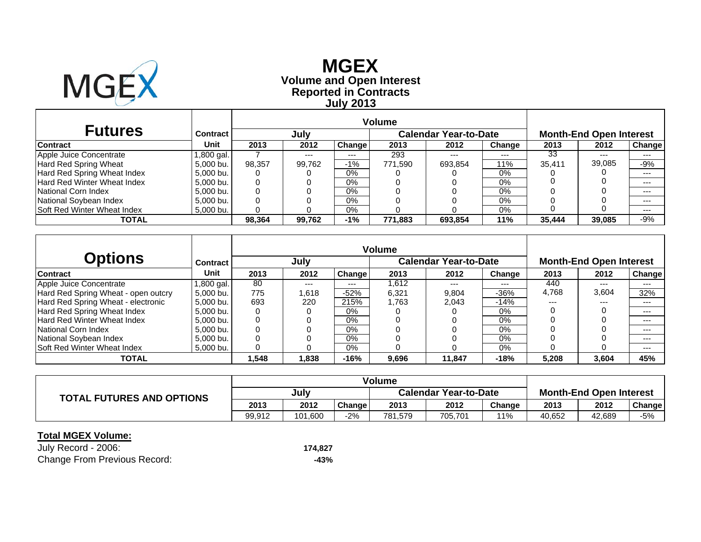

## **Reported in Contracts Volume and Open Interest MGEX July 2013**

| <b>Futures</b>                     | Contract   |        | July   |        |         | <b>Calendar Year-to-Date</b> |         |        | <b>Month-End Open Interest</b> |         |
|------------------------------------|------------|--------|--------|--------|---------|------------------------------|---------|--------|--------------------------------|---------|
| <b>Contract</b>                    | Unit       | 2013   | 2012   | Change | 2013    | 2012                         | Change  | 2013   | 2012                           | Change  |
| Apple Juice Concentrate            | 1,800 gal. |        | ---    | $---$  | 293     | $- - -$                      | $- - -$ | 33     | $---$                          | $---$   |
| Hard Red Spring Wheat              | 5,000 bu.  | 98,357 | 99,762 | $-1\%$ | 771,590 | 693,854                      | 11%     | 35,411 | 39,085                         | -9%     |
| Hard Red Spring Wheat Index        | 5,000 bu.  |        |        | 0%     |         |                              | 0%      |        |                                | $--$    |
| Hard Red Winter Wheat Index        | 5.000 bu.  |        |        | 0%     |         |                              | 0%      |        |                                | $---$   |
| National Corn Index                | 5.000 bu.  |        |        | 0%     |         |                              | 0%      |        |                                | $- - -$ |
| National Soybean Index             | 5,000 bu.  |        |        | 0%     |         |                              | $0\%$   |        |                                | $---$   |
| <b>Soft Red Winter Wheat Index</b> | 5.000 bu.  |        |        | 0%     |         |                              | 0%      |        |                                | $--$    |
| TOTAL                              |            | 98.364 | 99.762 | -1%    | 771.883 | 693.854                      | 11%     | 35.444 | 39,085                         | $-9%$   |

|                                     |           |          |       |        | <b>Volume</b> |                              |        |       |                                |        |
|-------------------------------------|-----------|----------|-------|--------|---------------|------------------------------|--------|-------|--------------------------------|--------|
| Options                             | Contract  |          | July  |        |               | <b>Calendar Year-to-Date</b> |        |       | <b>Month-End Open Interest</b> |        |
| <b>Contract</b>                     | Unit      | 2013     | 2012  | Change | 2013          | 2012                         | Change | 2013  | 2012                           | Change |
| Apple Juice Concentrate             | ,800 gal. | 80       | $---$ | $---$  | 1.612         | ---                          | ---    | 440   | $--$                           | $---$  |
| Hard Red Spring Wheat - open outcry | 5.000 bu. | 775      | 618.ا | -52%   | 6,321         | 9,804                        | $-36%$ | 4,768 | 3,604                          | 32%    |
| Hard Red Spring Wheat - electronic  | 5.000 bu. | 693      | 220   | 215%   | 1,763         | 2.043                        | $-14%$ | $---$ | $---$                          | $---$  |
| Hard Red Spring Wheat Index         | 5.000 bu. | 0        | O     | 0%     |               |                              | $0\%$  |       |                                | $---$  |
| Hard Red Winter Wheat Index         | 5.000 bu. | 0        |       | 0%     |               |                              | $0\%$  |       |                                | ---    |
| National Corn Index                 | 5.000 bu. | 0        |       | $0\%$  |               |                              | $0\%$  |       |                                | ---    |
| National Soybean Index              | 5.000 bu. | 0        |       | $0\%$  |               |                              | $0\%$  |       |                                | $---$  |
| <b>Soft Red Winter Wheat Index</b>  | 5,000 bu. | $\Omega$ |       | 0%     |               |                              | 0%     |       |                                | $--$   |
| TOTAL                               |           | 548. ا   | 1,838 | $-16%$ | 9,696         | 11.847                       | $-18%$ | 5,208 | 3.604                          | 45%    |

| <b>TOTAL FUTURES AND OPTIONS</b> |        |         |        | <b>Volume</b>                |         |        |                                |        |        |
|----------------------------------|--------|---------|--------|------------------------------|---------|--------|--------------------------------|--------|--------|
|                                  | July   |         |        | <b>Calendar Year-to-Date</b> |         |        | <b>Month-End Open Interest</b> |        |        |
|                                  | 2013   | 2012    | Change | 2013                         | 2012    | Change | 2013                           | 2012   | Change |
|                                  | 99.912 | 101.600 | $-2%$  | 781.579                      | 705,701 | 11%    | 40.652                         | 42,689 | $-5%$  |

#### **Total MGEX Volume:**

July Record - 2006: **174,827** Change From Previous Record: **-43%**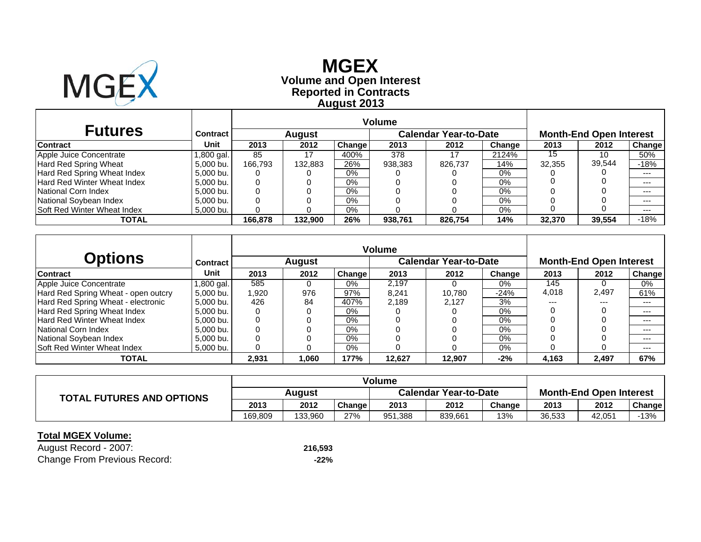

# **Reported in Contracts Volume and Open Interest MGEX August 2013**

| <b>Futures</b>                     | Contract   |         | <b>August</b> |        |         | <b>Calendar Year-to-Date</b> |        | <b>Month-End Open Interest</b> |        |         |  |
|------------------------------------|------------|---------|---------------|--------|---------|------------------------------|--------|--------------------------------|--------|---------|--|
| <b>Contract</b>                    | Unit       | 2013    | 2012          | Change | 2013    | 2012                         | Change | 2013                           | 2012   | Change  |  |
| Apple Juice Concentrate            | 1,800 gal. | 85      | 17            | 400%   | 378     |                              | 2124%  | 15                             | 10     | 50%     |  |
| Hard Red Spring Wheat              | 5.000 bu.  | 166.793 | 132.883       | 26%    | 938,383 | 826.737                      | 14%    | 32.355                         | 39,544 | $-18%$  |  |
| Hard Red Spring Wheat Index        | 5,000 bu.  |         |               | $0\%$  |         |                              | 0%     |                                |        | $---$   |  |
| Hard Red Winter Wheat Index        | 5,000 bu.  |         |               | $0\%$  |         |                              | 0%     |                                |        | $- - -$ |  |
| National Corn Index                | 5.000 bu.  |         |               | 0%     |         |                              | 0%     |                                |        | $--$    |  |
| National Soybean Index             | 5,000 bu.  |         |               | $0\%$  |         |                              | $0\%$  |                                |        | ---     |  |
| <b>Soft Red Winter Wheat Index</b> | 5,000 bu.  |         |               | 0%     |         |                              | 0%     |                                |        | $--$    |  |
| <b>TOTAL</b>                       |            | 166.878 | 132.900       | 26%    | 938,761 | 826.754                      | 14%    | 32,370                         | 39,554 | $-18%$  |  |

|                                     |           |       |               |        | <b>Volume</b> |                              |        |       |                                |        |
|-------------------------------------|-----------|-------|---------------|--------|---------------|------------------------------|--------|-------|--------------------------------|--------|
| Options                             | Contract  |       | <b>August</b> |        |               | <b>Calendar Year-to-Date</b> |        |       | <b>Month-End Open Interest</b> |        |
| <b>Contract</b>                     | Unit      | 2013  | 2012          | Change | 2013          | 2012                         | Change | 2013  | 2012                           | Change |
| Apple Juice Concentrate             | ,800 gal. | 585   | 0             | $0\%$  | 2.197         |                              | $0\%$  | 145   |                                | 0%     |
| Hard Red Spring Wheat - open outcry | 5,000 bu. | 1,920 | 976           | 97%    | 8,241         | 10.780                       | $-24%$ | 4,018 | 2,497                          | 61%    |
| Hard Red Spring Wheat - electronic  | 5.000 bu. | 426   | 84            | 407%   | 2.189         | 2.127                        | 3%     | $---$ | $---$                          | $--$   |
| Hard Red Spring Wheat Index         | 5.000 bu. | 0     | 0             | $0\%$  |               |                              | 0%     |       |                                | $---$  |
| Hard Red Winter Wheat Index         | 5.000 bu. | 0     |               | $0\%$  |               |                              | $0\%$  |       |                                | ---    |
| National Corn Index                 | 5.000 bu. | 0     |               | $0\%$  |               |                              | 0%     |       |                                | ---    |
| National Soybean Index              | 5.000 bu. | 0     |               | $0\%$  |               |                              | $0\%$  |       |                                | ---    |
| Soft Red Winter Wheat Index         | 5,000 bu. | 0     |               | $0\%$  |               |                              | $0\%$  |       |                                | $---$  |
| TOTAL                               |           | 2,931 | 1,060         | 177%   | 12.627        | 12.907                       | $-2%$  | 4,163 | 2,497                          | 67%    |

| <b>TOTAL FUTURES AND OPTIONS</b> |         |         |        |                              |         |        |                                |        |        |
|----------------------------------|---------|---------|--------|------------------------------|---------|--------|--------------------------------|--------|--------|
|                                  | Auaust  |         |        | <b>Calendar Year-to-Date</b> |         |        | <b>Month-End Open Interest</b> |        |        |
|                                  | 2013    | 2012    | Change | 2013                         | 2012    | Change | 2013                           | 2012   | Change |
|                                  | 169.809 | 133.960 | 27%    | 951,388                      | 839,661 | 13%    | 36,533                         | 42,051 | $-13%$ |

### **Total MGEX Volume:**

August Record - 2007: **216,593** Change From Previous Record: **-22%**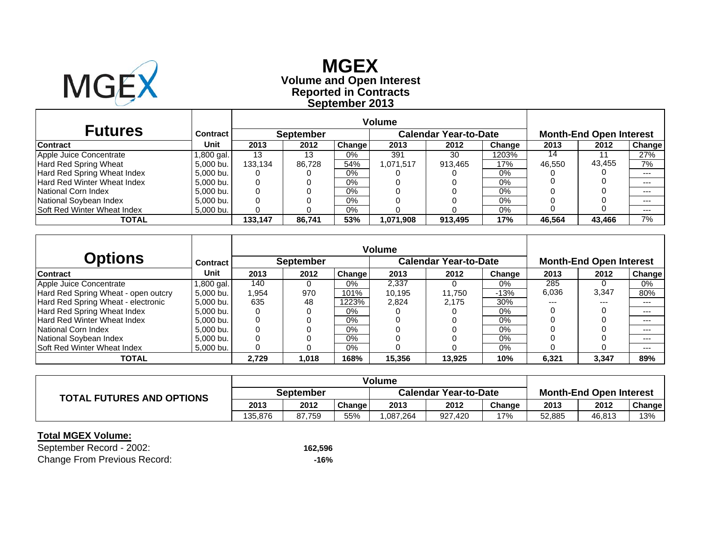

# **Reported in Contracts Volume and Open Interest MGEX September 2013**

| <b>Futures</b>                     | <b>Contract</b> |         | <b>September</b> |        |           | Calendar Year-to-Date |        | <b>Month-End Open Interest</b> |        |               |  |
|------------------------------------|-----------------|---------|------------------|--------|-----------|-----------------------|--------|--------------------------------|--------|---------------|--|
| <b>Contract</b>                    | Unit            | 2013    | 2012             | Change | 2013      | 2012                  | Change | 2013                           | 2012   | <b>Change</b> |  |
| Apple Juice Concentrate            | .800 gal.       | 13      | 13               | $0\%$  | 391       | 30                    | 1203%  | 14                             |        | 27%           |  |
| Hard Red Spring Wheat              | 5.000 bu.       | 133.134 | 86.728           | 54%    | 1.071.517 | 913,465               | 17%    | 46.550                         | 43.455 | 7%            |  |
| Hard Red Spring Wheat Index        | 5.000 bu.       |         |                  | 0%     |           |                       | $0\%$  |                                |        | $- - -$       |  |
| Hard Red Winter Wheat Index        | 5,000 bu.       |         |                  | $0\%$  |           |                       | $0\%$  |                                |        | $---$         |  |
| National Corn Index                | 5.000 bu.       |         |                  | 0%     |           |                       | 0%     |                                |        | $- - -$       |  |
| National Soybean Index             | 5.000 bu.       |         |                  | $0\%$  |           |                       | 0%     |                                |        | $- - -$       |  |
| <b>Soft Red Winter Wheat Index</b> | 5,000 bu.       |         |                  | 0%     |           |                       | 0%     |                                |        | $- - -$       |  |
| <b>TOTAL</b>                       |                 | 133.147 | 86.741           | 53%    | 1.071.908 | 913.495               | 17%    | 46.564                         | 43.466 | 7%            |  |

| Options                             | <b>Contract</b> |       | <b>September</b> |        |        | <b>Calendar Year-to-Date</b> |        |       | <b>Month-End Open Interest</b> |        |
|-------------------------------------|-----------------|-------|------------------|--------|--------|------------------------------|--------|-------|--------------------------------|--------|
| <b>Contract</b>                     | <b>Unit</b>     | 2013  | 2012             | Change | 2013   | 2012                         | Change | 2013  | 2012                           | Change |
| Apple Juice Concentrate             | l,800 gal.      | 140   | 0                | $0\%$  | 2,337  |                              | 0%     | 285   |                                | 0%     |
| Hard Red Spring Wheat - open outcry | 5,000 bu.       | 1,954 | 970              | 101%   | 10.195 | 11.750                       | $-13%$ | 6,036 | 3.347                          | 80%    |
| Hard Red Spring Wheat - electronic  | 5,000 bu.       | 635   | 48               | 1223%  | 2.824  | 2.175                        | 30%    | $---$ | $---$                          | ---    |
| Hard Red Spring Wheat Index         | 5.000 bu.       | 0     |                  | $0\%$  |        |                              | $0\%$  |       |                                | ---    |
| <b>Hard Red Winter Wheat Index</b>  | 5.000 bu.       | 0     |                  | $0\%$  |        |                              | $0\%$  |       |                                | $---$  |
| National Corn Index                 | 5.000 bu.       | 0     |                  | $0\%$  |        |                              | 0%     |       |                                | $--$   |
| National Soybean Index              | 5.000 bu.       |       |                  | $0\%$  |        |                              | $0\%$  |       |                                | $---$  |
| <b>Soft Red Winter Wheat Index</b>  | 5,000 bu.       | 0     |                  | $0\%$  |        |                              | 0%     |       |                                | $---$  |
| <b>TOTAL</b>                        |                 | 2,729 | 1,018            | 168%   | 15,356 | 13,925                       | 10%    | 6,321 | 3,347                          | 89%    |

|                                  |                  |        |        | Volume                       |         |        |                                |        |        |
|----------------------------------|------------------|--------|--------|------------------------------|---------|--------|--------------------------------|--------|--------|
| <b>TOTAL FUTURES AND OPTIONS</b> | <b>September</b> |        |        | <b>Calendar Year-to-Date</b> |         |        | <b>Month-End Open Interest</b> |        |        |
|                                  | 2013             | 2012   | Change | 2013                         | 2012    | Change | 2013                           | 2012   | Change |
|                                  | 135.876          | 87.759 | 55%    | 1.087.264                    | 927,420 | 17%    | 52.885                         | 46,813 | 13%    |

### **Total MGEX Volume:**

September Record - 2002: **162,596** Change From Previous Record: **-16%**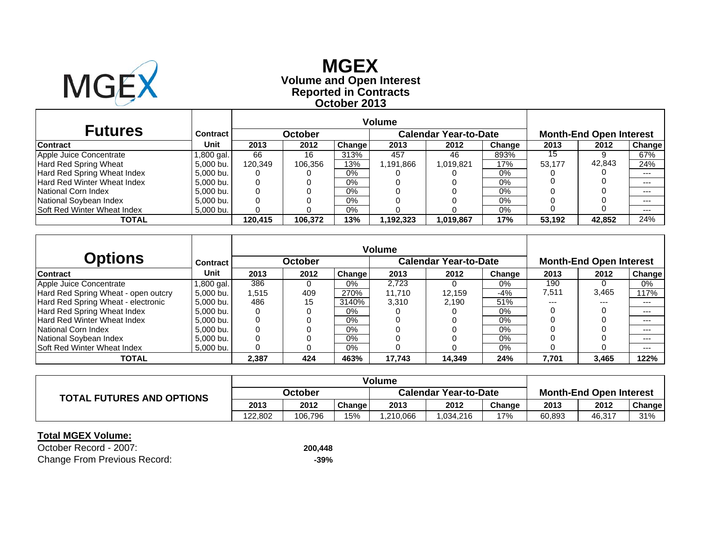

## **Reported in Contracts Volume and Open Interest MGEX October 2013**

| <b>Futures</b>                     | Contract  |         | <b>October</b> |        |          | <b>Calendar Year-to-Date</b> |        |        | <b>Month-End Open Interest</b> |        |
|------------------------------------|-----------|---------|----------------|--------|----------|------------------------------|--------|--------|--------------------------------|--------|
| <b>Contract</b>                    | Unit      | 2013    | 2012           | Change | 2013     | 2012                         | Change | 2013   | 2012                           | Change |
| Apple Juice Concentrate            | .800 gal. | 66      | 16             | 313%   | 457      | 46                           | 893%   | 15     |                                | 67%    |
| Hard Red Spring Wheat              | 5.000 bu. | 120.349 | 106.356        | 13%    | .191.866 | 1,019,821                    | 17%    | 53.177 | 42.843                         | 24%    |
| Hard Red Spring Wheat Index        | 5,000 bu. |         |                | $0\%$  |          |                              | 0%     |        |                                | $--$   |
| <b>Hard Red Winter Wheat Index</b> | 5,000 bu. |         |                | 0%     |          |                              | 0%     |        |                                | ---    |
| National Corn Index                | 5.000 bu. |         |                | 0%     |          |                              | 0%     |        |                                | $--$   |
| National Soybean Index             | 5,000 bu. |         |                | 0%     |          |                              | 0%     |        |                                | $---$  |
| <b>Soft Red Winter Wheat Index</b> | 5,000 bu. |         |                | 0%     |          |                              | 0%     |        |                                | $---$  |
| TOTAL                              |           | 120.415 | 106.372        | 13%    | .192.323 | 1.019.867                    | 17%    | 53.192 | 42,852                         | 24%    |

|                                     |                 | <b>Volume</b> |                |        |        |                              |        |       |                                |        |
|-------------------------------------|-----------------|---------------|----------------|--------|--------|------------------------------|--------|-------|--------------------------------|--------|
| Options                             | <b>Contract</b> |               | <b>October</b> |        |        | <b>Calendar Year-to-Date</b> |        |       | <b>Month-End Open Interest</b> |        |
| <b>Contract</b>                     | Unit            | 2013          | 2012           | Change | 2013   | 2012                         | Change | 2013  | 2012                           | Change |
| Apple Juice Concentrate             | ,800 gal.'      | 386           |                | $0\%$  | 2.723  |                              | 0%     | 190   |                                | 0%     |
| Hard Red Spring Wheat - open outcry | 5,000 bu.       | 515. ا        | 409            | 270%   | 11.710 | 12.159                       | $-4%$  | 7,511 | 3,465                          | 117%   |
| Hard Red Spring Wheat - electronic  | 5.000 bu.       | 486           | 15             | 3140%  | 3.310  | 2.190                        | 51%    | $---$ | $---$                          | ---    |
| Hard Red Spring Wheat Index         | 5.000 bu.       | 0             |                | $0\%$  |        |                              | $0\%$  |       |                                | $---$  |
| Hard Red Winter Wheat Index         | 5.000 bu.       | 0             |                | $0\%$  |        |                              | $0\%$  |       |                                | $---$  |
| National Corn Index                 | 5.000 bu.       | 0             |                | $0\%$  |        |                              | 0%     |       |                                | ---    |
| National Soybean Index              | 5.000 bu.       |               |                | $0\%$  |        |                              | 0%     |       |                                | ---    |
| <b>Soft Red Winter Wheat Index</b>  | 5,000 bu.       | 0             |                | $0\%$  |        |                              | $0\%$  |       |                                | $---$  |
| <b>TOTAL</b>                        |                 | 2,387         | 424            | 463%   | 17,743 | 14,349                       | 24%    | 7,701 | 3,465                          | 122%   |

|                                  |         |         |               | <b>Volume</b>                |          |        |                                |        |               |
|----------------------------------|---------|---------|---------------|------------------------------|----------|--------|--------------------------------|--------|---------------|
| <b>TOTAL FUTURES AND OPTIONS</b> | October |         |               | <b>Calendar Year-to-Date</b> |          |        | <b>Month-End Open Interest</b> |        |               |
|                                  | 2013    | 2012    | <b>Change</b> | 2013                         | 2012     | Change | 2013                           | 2012   | <b>Change</b> |
|                                  | 122.802 | 106.796 | 15%           | .210.066                     | ,034,216 | 17%    | 60.893                         | 46,317 | 31%           |

### **Total MGEX Volume:**

October Record - 2007: **200,448** Change From Previous Record: **-39%**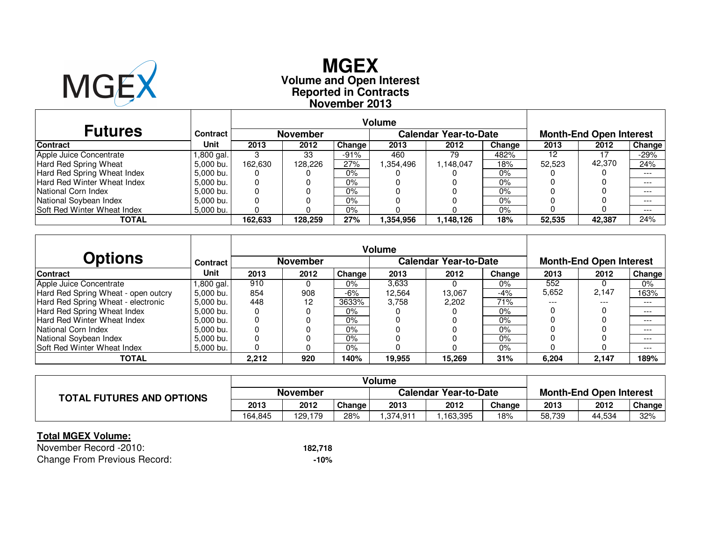

# **Reported in Contracts Volume and Open Interest MGEXNovember 2013**

| <b>Futures</b>                     | <b>Contract</b> |         | <b>November</b> |        |           | <b>Calendar Year-to-Date</b> |        |        | <b>Month-End Open Interest</b> |         |
|------------------------------------|-----------------|---------|-----------------|--------|-----------|------------------------------|--------|--------|--------------------------------|---------|
| <b>Contract</b>                    | Unit            | 2013    | 2012            | Change | 2013      | 2012                         | Change | 2013   | 2012                           | Change  |
| Apple Juice Concentrate            | .800 gal.       |         | 33              | $-91%$ | 460       | 79                           | 482%   | 12     | 17                             | $-29%$  |
| Hard Red Spring Wheat              | 5.000 bu.       | 162.630 | 128.226         | 27%    | .354,496  | 1,148,047                    | 18%    | 52.523 | 42,370                         | 24%     |
| Hard Red Spring Wheat Index        | 5.000 bu.       | O       |                 | $0\%$  |           |                              | 0%     |        |                                | $---$   |
| <b>Hard Red Winter Wheat Index</b> | 5.000 bu.       | 0       |                 | 0%     |           |                              | 0%     |        |                                | $---$   |
| National Corn Index                | 5.000 bu.       | 0       |                 | 0%     |           |                              | 0%     |        |                                | $- - -$ |
| National Soybean Index             | 5.000 bu.       | 0       |                 | $0\%$  |           |                              | 0%     |        |                                | $---$   |
| <b>Soft Red Winter Wheat Index</b> | 5,000 bu.       |         |                 | $0\%$  |           |                              | 0%     |        |                                | $---$   |
| <b>TOTAL</b>                       |                 | 162.633 | 128,259         | 27%    | 1,354,956 | 1,148,126                    | 18%    | 52.535 | 42.387                         | 24%     |

|                                     |                 |       |          |        | <b>Volume</b> |                              |        |       |                                |        |
|-------------------------------------|-----------------|-------|----------|--------|---------------|------------------------------|--------|-------|--------------------------------|--------|
| <b>Options</b>                      | <b>Contract</b> |       | November |        |               | <b>Calendar Year-to-Date</b> |        |       | <b>Month-End Open Interest</b> |        |
| <b>Contract</b>                     | Unit            | 2013  | 2012     | Change | 2013          | 2012                         | Change | 2013  | 2012                           | Change |
| Apple Juice Concentrate             | l.800 gal.      | 910   |          | 0%     | 3.633         |                              | $0\%$  | 552   |                                | $0\%$  |
| Hard Red Spring Wheat - open outcry | 5.000 bu.       | 854   | 908      | -6%    | 12.564        | 13.067                       | $-4%$  | 5,652 | 2.147                          | 163%   |
| Hard Red Spring Wheat - electronic  | 5.000 bu.       | 448   | 12       | 3633%  | 3.758         | 2.202                        | 71%    | $---$ | $---$                          | $---$  |
| Hard Red Spring Wheat Index         | 5.000 bu.       |       |          | 0%     |               |                              | $0\%$  |       |                                | $---$  |
| Hard Red Winter Wheat Index         | 5.000 bu.       |       |          | 0%     |               |                              | 0%     |       |                                | $---$  |
| National Corn Index                 | 5.000 bu.       |       |          | 0%     |               |                              | $0\%$  |       |                                | $---$  |
| National Soybean Index              | 5.000 bu.       |       |          | 0%     |               |                              | $0\%$  |       |                                | $---$  |
| <b>Soft Red Winter Wheat Index</b>  | 5,000 bu.       |       |          | 0%     |               |                              | $0\%$  |       |                                | $---$  |
| <b>TOTAL</b>                        |                 | 2,212 | 920      | 140%   | 19,955        | 15,269                       | 31%    | 6,204 | 2,147                          | 189%   |

|                                  |          |         |        | Volume                       |         |        |                                |        |        |  |
|----------------------------------|----------|---------|--------|------------------------------|---------|--------|--------------------------------|--------|--------|--|
| <b>TOTAL FUTURES AND OPTIONS</b> | November |         |        | <b>Calendar Year-to-Date</b> |         |        | <b>Month-End Open Interest</b> |        |        |  |
|                                  | 2013     | 2012    | Change | 2013                         | 2012    | Change | 2013                           | 2012   | Change |  |
|                                  | 164.845  | 129.179 | 28%    | .374,911                     | 163,395 | 18%    | 58,739                         | 44,534 | 32%    |  |

### **Total MGEX Volume:**

 November Record -2010:Change From Previous Record:**-10%**